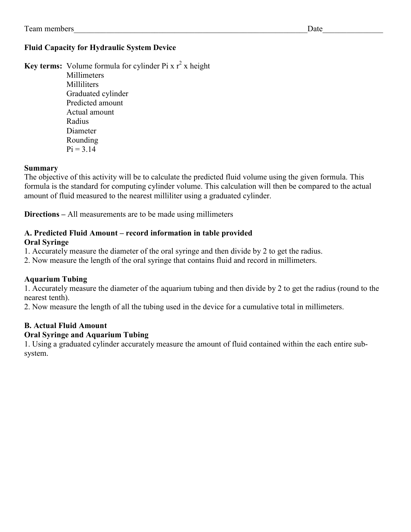#### Fluid Capacity for Hydraulic System Device

Key terms: Volume formula for cylinder Pi x  $r^2$  x height **Millimeters**  Milliliters Graduated cylinder Predicted amount Actual amount Radius Diameter Rounding  $Pi = 3.14$ 

#### Summary

The objective of this activity will be to calculate the predicted fluid volume using the given formula. This formula is the standard for computing cylinder volume. This calculation will then be compared to the actual amount of fluid measured to the nearest milliliter using a graduated cylinder.

Directions – All measurements are to be made using millimeters

### A. Predicted Fluid Amount – record information in table provided

#### Oral Syringe

1. Accurately measure the diameter of the oral syringe and then divide by 2 to get the radius.

2. Now measure the length of the oral syringe that contains fluid and record in millimeters.

#### Aquarium Tubing

1. Accurately measure the diameter of the aquarium tubing and then divide by 2 to get the radius (round to the nearest tenth).

2. Now measure the length of all the tubing used in the device for a cumulative total in millimeters.

#### B. Actual Fluid Amount

#### Oral Syringe and Aquarium Tubing

1. Using a graduated cylinder accurately measure the amount of fluid contained within the each entire subsystem.